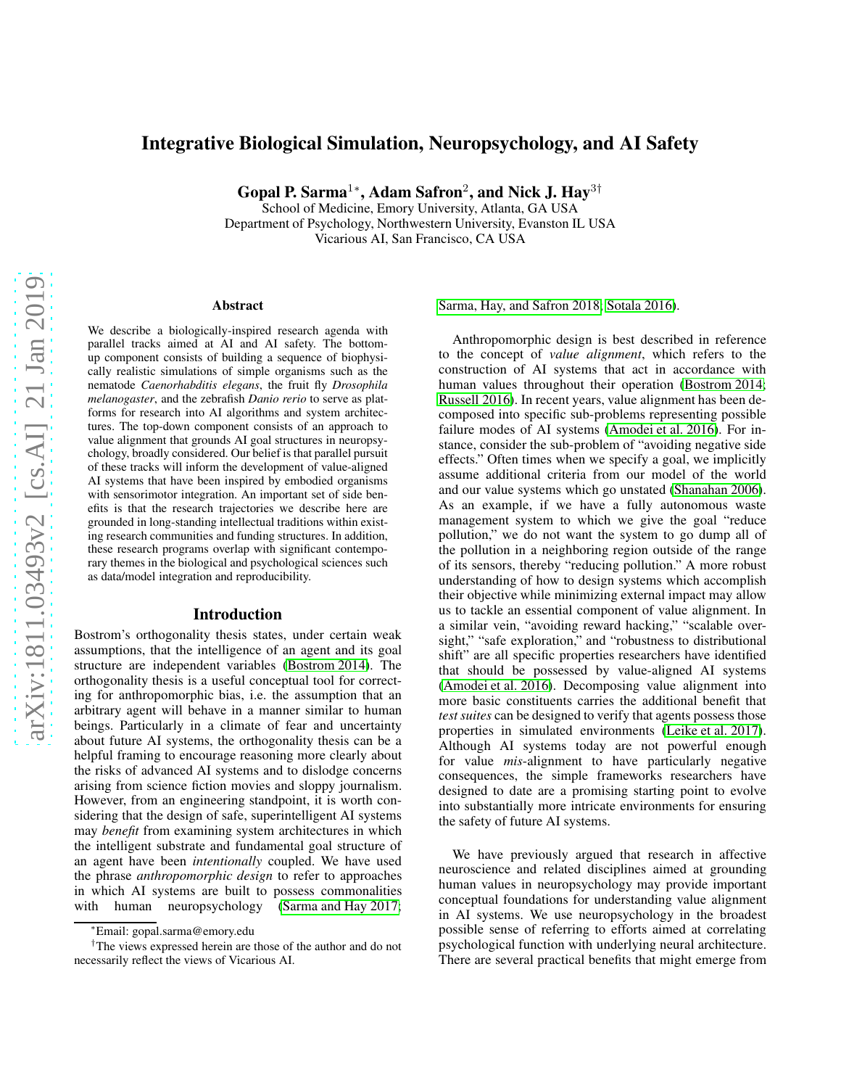# Integrative Biological Simulation, Neuropsychology, and AI Safety

Gopal P. Sarma<sup>1</sup>\*, Adam Safron<sup>2</sup>, and Nick J. Hay<sup>3†</sup>

School of Medicine, Emory University, Atlanta, GA USA Department of Psychology, Northwestern University, Evanston IL USA Vicarious AI, San Francisco, CA USA

#### Abstract

We describe a biologically-inspired research agenda with parallel tracks aimed at AI and AI safety. The bottomup component consists of building a sequence of biophysically realistic simulations of simple organisms such as the nematode *Caenorhabditis elegans*, the fruit fly *Drosophila melanogaster*, and the zebrafish *Danio rerio* to serve as platforms for research into AI algorithms and system architectures. The top-down component consists of an approach to value alignment that grounds AI goal structures in neuropsychology, broadly considered. Our belief is that parallel pursuit of these tracks will inform the development of value-aligned AI systems that have been inspired by embodied organisms with sensorimotor integration. An important set of side benefits is that the research trajectories we describe here are grounded in long-standing intellectual traditions within existing research communities and funding structures. In addition, these research programs overlap with significant contemporary themes in the biological and psychological sciences such as data/model integration and reproducibility.

#### Introduction

Bostrom's orthogonality thesis states, under certain weak assumptions, that the intelligence of an agent and its goal structure are independent variables [\(Bostrom 2014\)](#page-4-0). The orthogonality thesis is a useful conceptual tool for correcting for anthropomorphic bias, i.e. the assumption that an arbitrary agent will behave in a manner similar to human beings. Particularly in a climate of fear and uncertainty about future AI systems, the orthogonality thesis can be a helpful framing to encourage reasoning more clearly about the risks of advanced AI systems and to dislodge concerns arising from science fiction movies and sloppy journalism. However, from an engineering standpoint, it is worth considering that the design of safe, superintelligent AI systems may *benefit* from examining system architectures in which the intelligent substrate and fundamental goal structure of an agent have been *intentionally* coupled. We have used the phrase *anthropomorphic design* to refer to approaches in which AI systems are built to possess commonalities with human neuropsychology [\(Sarma and Hay 2017;](#page-4-1)

[Sarma, Hay, and Safron 2018;](#page-4-2) [Sotala 2016\)](#page-4-3).

Anthropomorphic design is best described in reference to the concept of *value alignment*, which refers to the construction of AI systems that act in accordance with human values throughout their operation [\(Bostrom 2014;](#page-4-0) [Russell 2016\)](#page-4-4). In recent years, value alignment has been decomposed into specific sub-problems representing possible failure modes of AI systems [\(Amodei et al. 2016\)](#page-4-5). For instance, consider the sub-problem of "avoiding negative side effects." Often times when we specify a goal, we implicitly assume additional criteria from our model of the world and our value systems which go unstated [\(Shanahan 2006\)](#page-4-6). As an example, if we have a fully autonomous waste management system to which we give the goal "reduce pollution," we do not want the system to go dump all of the pollution in a neighboring region outside of the range of its sensors, thereby "reducing pollution." A more robust understanding of how to design systems which accomplish their objective while minimizing external impact may allow us to tackle an essential component of value alignment. In a similar vein, "avoiding reward hacking," "scalable oversight," "safe exploration," and "robustness to distributional shift" are all specific properties researchers have identified that should be possessed by value-aligned AI systems [\(Amodei et al. 2016\)](#page-4-5). Decomposing value alignment into more basic constituents carries the additional benefit that *test suites* can be designed to verify that agents possess those properties in simulated environments [\(Leike et al. 2017\)](#page-4-7). Although AI systems today are not powerful enough for value *mis*-alignment to have particularly negative consequences, the simple frameworks researchers have designed to date are a promising starting point to evolve into substantially more intricate environments for ensuring the safety of future AI systems.

We have previously argued that research in affective neuroscience and related disciplines aimed at grounding human values in neuropsychology may provide important conceptual foundations for understanding value alignment in AI systems. We use neuropsychology in the broadest possible sense of referring to efforts aimed at correlating psychological function with underlying neural architecture. There are several practical benefits that might emerge from

<sup>∗</sup>Email: gopal.sarma@emory.edu

<sup>†</sup>The views expressed herein are those of the author and do not necessarily reflect the views of Vicarious AI.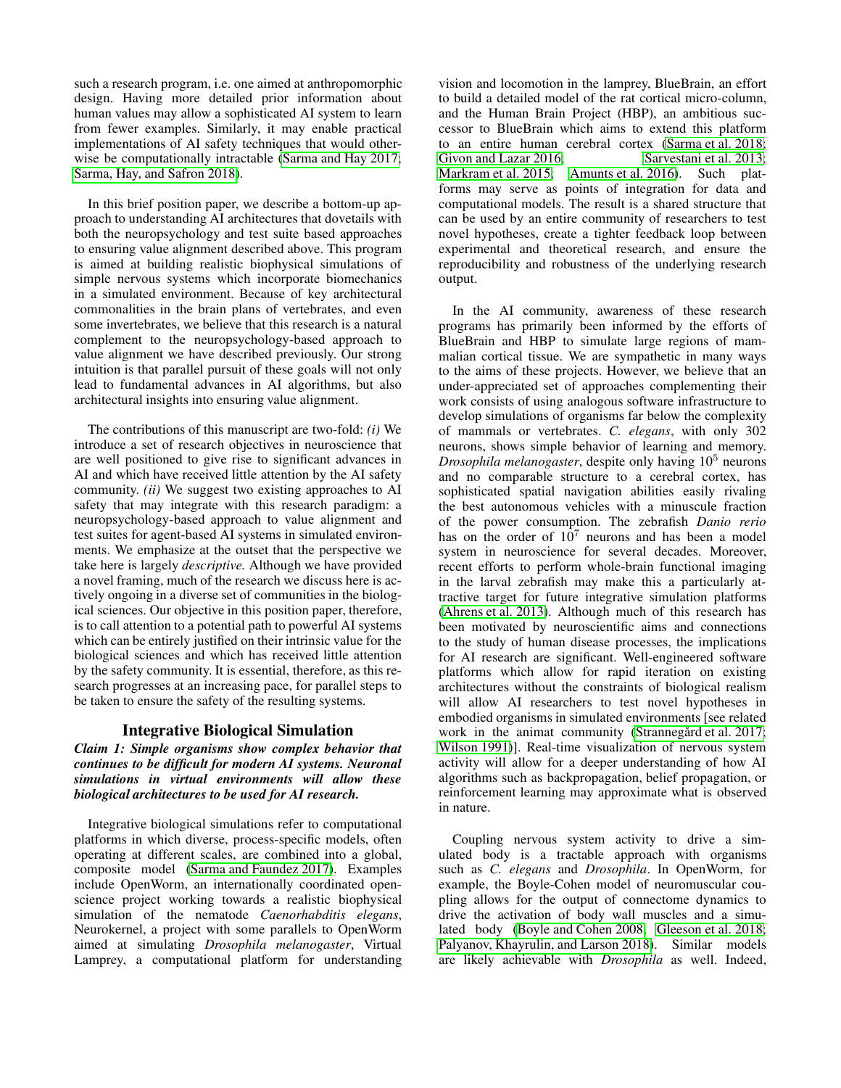such a research program, i.e. one aimed at anthropomorphic design. Having more detailed prior information about human values may allow a sophisticated AI system to learn from fewer examples. Similarly, it may enable practical implementations of AI safety techniques that would otherwise be computationally intractable [\(Sarma and Hay 2017;](#page-4-1) [Sarma, Hay, and Safron 2018\)](#page-4-2).

In this brief position paper, we describe a bottom-up approach to understanding AI architectures that dovetails with both the neuropsychology and test suite based approaches to ensuring value alignment described above. This program is aimed at building realistic biophysical simulations of simple nervous systems which incorporate biomechanics in a simulated environment. Because of key architectural commonalities in the brain plans of vertebrates, and even some invertebrates, we believe that this research is a natural complement to the neuropsychology-based approach to value alignment we have described previously. Our strong intuition is that parallel pursuit of these goals will not only lead to fundamental advances in AI algorithms, but also architectural insights into ensuring value alignment.

The contributions of this manuscript are two-fold: *(i)* We introduce a set of research objectives in neuroscience that are well positioned to give rise to significant advances in AI and which have received little attention by the AI safety community. *(ii)* We suggest two existing approaches to AI safety that may integrate with this research paradigm: a neuropsychology-based approach to value alignment and test suites for agent-based AI systems in simulated environments. We emphasize at the outset that the perspective we take here is largely *descriptive.* Although we have provided a novel framing, much of the research we discuss here is actively ongoing in a diverse set of communities in the biological sciences. Our objective in this position paper, therefore, is to call attention to a potential path to powerful AI systems which can be entirely justified on their intrinsic value for the biological sciences and which has received little attention by the safety community. It is essential, therefore, as this research progresses at an increasing pace, for parallel steps to be taken to ensure the safety of the resulting systems.

# Integrative Biological Simulation

# *Claim 1: Simple organisms show complex behavior that continues to be difficult for modern AI systems. Neuronal simulations in virtual environments will allow these biological architectures to be used for AI research.*

Integrative biological simulations refer to computational platforms in which diverse, process-specific models, often operating at different scales, are combined into a global, composite model [\(Sarma and Faundez 2017\)](#page-4-8). Examples include OpenWorm, an internationally coordinated openscience project working towards a realistic biophysical simulation of the nematode *Caenorhabditis elegans*, Neurokernel, a project with some parallels to OpenWorm aimed at simulating *Drosophila melanogaster*, Virtual Lamprey, a computational platform for understanding

vision and locomotion in the lamprey, BlueBrain, an effort to build a detailed model of the rat cortical micro-column, and the Human Brain Project (HBP), an ambitious successor to BlueBrain which aims to extend this platform to an entire human cerebral cortex [\(Sarma et al. 2018;](#page-4-9) [Givon and Lazar 2016;](#page-4-10) [Sarvestani et al. 2013;](#page-4-11) [Markram et al. 2015;](#page-4-12) [Amunts et al. 2016\)](#page-4-13). Such platforms may serve as points of integration for data and computational models. The result is a shared structure that can be used by an entire community of researchers to test novel hypotheses, create a tighter feedback loop between experimental and theoretical research, and ensure the reproducibility and robustness of the underlying research output.

In the AI community, awareness of these research programs has primarily been informed by the efforts of BlueBrain and HBP to simulate large regions of mammalian cortical tissue. We are sympathetic in many ways to the aims of these projects. However, we believe that an under-appreciated set of approaches complementing their work consists of using analogous software infrastructure to develop simulations of organisms far below the complexity of mammals or vertebrates. *C. elegans*, with only 302 neurons, shows simple behavior of learning and memory. *Drosophila melanogaster*, despite only having 10<sup>5</sup> neurons and no comparable structure to a cerebral cortex, has sophisticated spatial navigation abilities easily rivaling the best autonomous vehicles with a minuscule fraction of the power consumption. The zebrafish *Danio rerio* has on the order of  $10^7$  neurons and has been a model system in neuroscience for several decades. Moreover, recent efforts to perform whole-brain functional imaging in the larval zebrafish may make this a particularly attractive target for future integrative simulation platforms [\(Ahrens et al. 2013\)](#page-3-0). Although much of this research has been motivated by neuroscientific aims and connections to the study of human disease processes, the implications for AI research are significant. Well-engineered software platforms which allow for rapid iteration on existing architectures without the constraints of biological realism will allow AI researchers to test novel hypotheses in embodied organisms in simulated environments [see related work in the animat community (Strannegård et al. 2017; [Wilson 1991\)](#page-4-15)]. Real-time visualization of nervous system activity will allow for a deeper understanding of how AI algorithms such as backpropagation, belief propagation, or reinforcement learning may approximate what is observed in nature.

Coupling nervous system activity to drive a simulated body is a tractable approach with organisms such as *C. elegans* and *Drosophila*. In OpenWorm, for example, the Boyle-Cohen model of neuromuscular coupling allows for the output of connectome dynamics to drive the activation of body wall muscles and a simulated body [\(Boyle and Cohen 2008;](#page-4-16) [Gleeson et al. 2018;](#page-4-17) [Palyanov, Khayrulin, and Larson 2018\)](#page-4-18). Similar models are likely achievable with *Drosophila* as well. Indeed,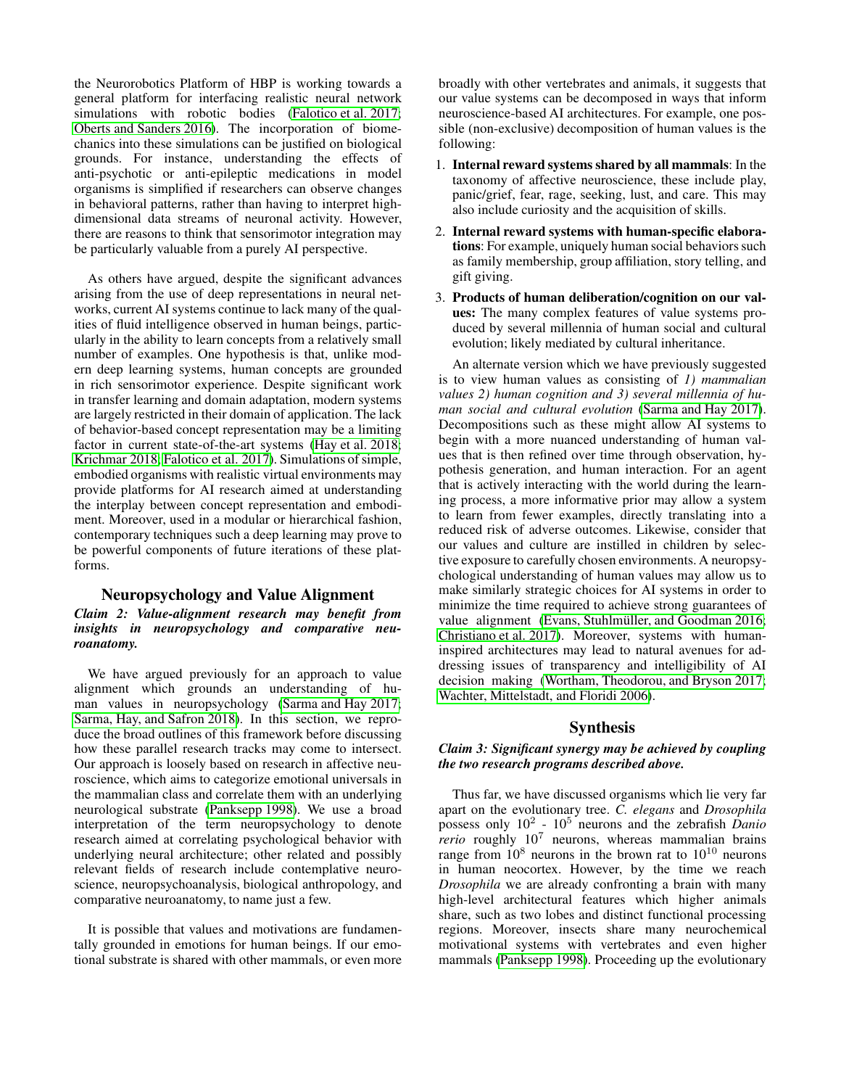the Neurorobotics Platform of HBP is working towards a general platform for interfacing realistic neural network simulations with robotic bodies [\(Falotico et al. 2017;](#page-4-19) [Oberts and Sanders 2016\)](#page-4-20). The incorporation of biomechanics into these simulations can be justified on biological grounds. For instance, understanding the effects of anti-psychotic or anti-epileptic medications in model organisms is simplified if researchers can observe changes in behavioral patterns, rather than having to interpret highdimensional data streams of neuronal activity. However, there are reasons to think that sensorimotor integration may be particularly valuable from a purely AI perspective.

As others have argued, despite the significant advances arising from the use of deep representations in neural networks, current AI systems continue to lack many of the qualities of fluid intelligence observed in human beings, particularly in the ability to learn concepts from a relatively small number of examples. One hypothesis is that, unlike modern deep learning systems, human concepts are grounded in rich sensorimotor experience. Despite significant work in transfer learning and domain adaptation, modern systems are largely restricted in their domain of application. The lack of behavior-based concept representation may be a limiting factor in current state-of-the-art systems [\(Hay et al. 2018;](#page-4-21) [Krichmar 2018;](#page-4-22) [Falotico et al. 2017\)](#page-4-19). Simulations of simple, embodied organisms with realistic virtual environments may provide platforms for AI research aimed at understanding the interplay between concept representation and embodiment. Moreover, used in a modular or hierarchical fashion, contemporary techniques such a deep learning may prove to be powerful components of future iterations of these platforms.

# Neuropsychology and Value Alignment

# *Claim 2: Value-alignment research may benefit from insights in neuropsychology and comparative neuroanatomy.*

We have argued previously for an approach to value alignment which grounds an understanding of human values in neuropsychology [\(Sarma and Hay 2017;](#page-4-1) [Sarma, Hay, and Safron 2018\)](#page-4-2). In this section, we reproduce the broad outlines of this framework before discussing how these parallel research tracks may come to intersect. Our approach is loosely based on research in affective neuroscience, which aims to categorize emotional universals in the mammalian class and correlate them with an underlying neurological substrate [\(Panksepp 1998\)](#page-4-23). We use a broad interpretation of the term neuropsychology to denote research aimed at correlating psychological behavior with underlying neural architecture; other related and possibly relevant fields of research include contemplative neuroscience, neuropsychoanalysis, biological anthropology, and comparative neuroanatomy, to name just a few.

It is possible that values and motivations are fundamentally grounded in emotions for human beings. If our emotional substrate is shared with other mammals, or even more broadly with other vertebrates and animals, it suggests that our value systems can be decomposed in ways that inform neuroscience-based AI architectures. For example, one possible (non-exclusive) decomposition of human values is the following:

- 1. Internal reward systems shared by all mammals: In the taxonomy of affective neuroscience, these include play, panic/grief, fear, rage, seeking, lust, and care. This may also include curiosity and the acquisition of skills.
- 2. Internal reward systems with human-specific elaborations: For example, uniquely human social behaviors such as family membership, group affiliation, story telling, and gift giving.
- 3. Products of human deliberation/cognition on our values: The many complex features of value systems produced by several millennia of human social and cultural evolution; likely mediated by cultural inheritance.

An alternate version which we have previously suggested is to view human values as consisting of *1) mammalian values 2) human cognition and 3) several millennia of human social and cultural evolution* [\(Sarma and Hay 2017\)](#page-4-1). Decompositions such as these might allow AI systems to begin with a more nuanced understanding of human values that is then refined over time through observation, hypothesis generation, and human interaction. For an agent that is actively interacting with the world during the learning process, a more informative prior may allow a system to learn from fewer examples, directly translating into a reduced risk of adverse outcomes. Likewise, consider that our values and culture are instilled in children by selective exposure to carefully chosen environments. A neuropsychological understanding of human values may allow us to make similarly strategic choices for AI systems in order to minimize the time required to achieve strong guarantees of value alignment (Evans, Stuhlmüller, and Goodman 2016; [Christiano et al. 2017\)](#page-4-25). Moreover, systems with humaninspired architectures may lead to natural avenues for addressing issues of transparency and intelligibility of AI decision making [\(Wortham, Theodorou, and Bryson 2017;](#page-5-0) [Wachter, Mittelstadt, and Floridi 2006\)](#page-4-26).

### Synthesis

### *Claim 3: Significant synergy may be achieved by coupling the two research programs described above.*

Thus far, we have discussed organisms which lie very far apart on the evolutionary tree. *C. elegans* and *Drosophila* possess only 10<sup>2</sup> - 10<sup>5</sup> neurons and the zebrafish *Danio rerio* roughly 10<sup>7</sup> neurons, whereas mammalian brains range from  $10^8$  neurons in the brown rat to  $10^{10}$  neurons in human neocortex. However, by the time we reach *Drosophila* we are already confronting a brain with many high-level architectural features which higher animals share, such as two lobes and distinct functional processing regions. Moreover, insects share many neurochemical motivational systems with vertebrates and even higher mammals [\(Panksepp 1998\)](#page-4-23). Proceeding up the evolutionary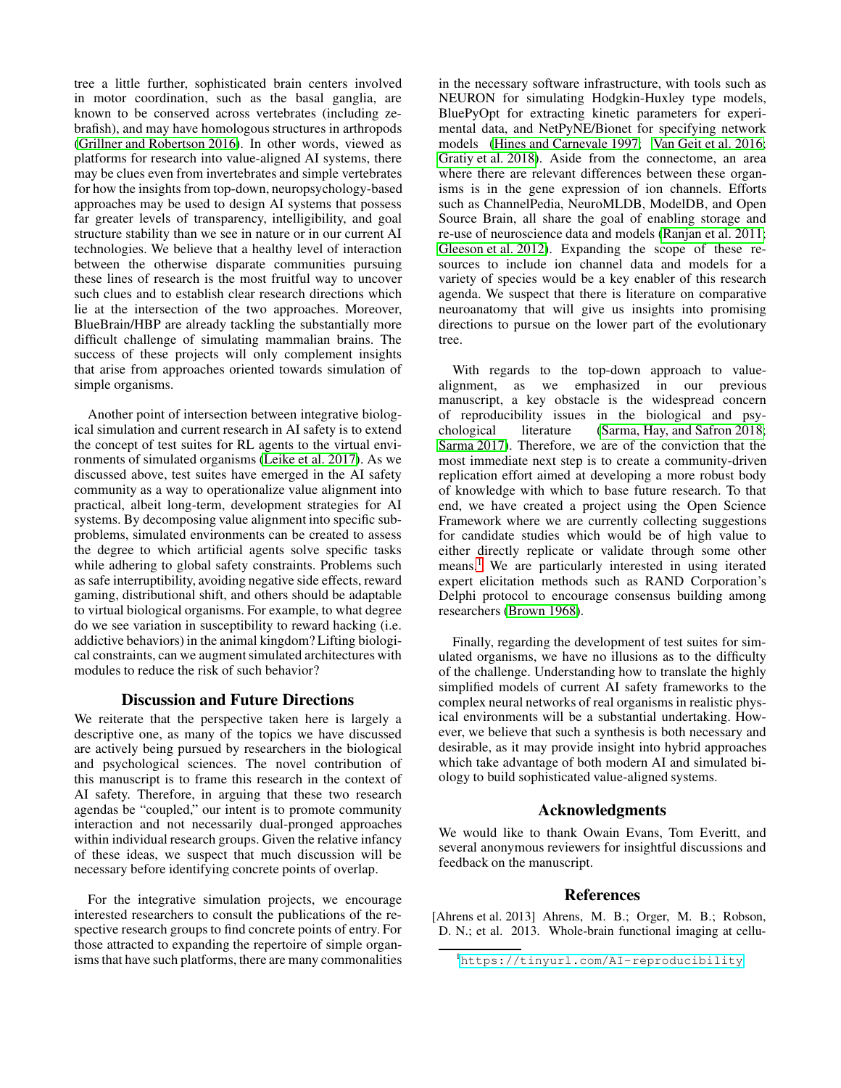tree a little further, sophisticated brain centers involved in motor coordination, such as the basal ganglia, are known to be conserved across vertebrates (including zebrafish), and may have homologous structures in arthropods [\(Grillner and Robertson 2016\)](#page-4-27). In other words, viewed as platforms for research into value-aligned AI systems, there may be clues even from invertebrates and simple vertebrates for how the insights from top-down, neuropsychology-based approaches may be used to design AI systems that possess far greater levels of transparency, intelligibility, and goal structure stability than we see in nature or in our current AI technologies. We believe that a healthy level of interaction between the otherwise disparate communities pursuing these lines of research is the most fruitful way to uncover such clues and to establish clear research directions which lie at the intersection of the two approaches. Moreover, BlueBrain/HBP are already tackling the substantially more difficult challenge of simulating mammalian brains. The success of these projects will only complement insights that arise from approaches oriented towards simulation of simple organisms.

Another point of intersection between integrative biological simulation and current research in AI safety is to extend the concept of test suites for RL agents to the virtual environments of simulated organisms [\(Leike et al. 2017\)](#page-4-7). As we discussed above, test suites have emerged in the AI safety community as a way to operationalize value alignment into practical, albeit long-term, development strategies for AI systems. By decomposing value alignment into specific subproblems, simulated environments can be created to assess the degree to which artificial agents solve specific tasks while adhering to global safety constraints. Problems such as safe interruptibility, avoiding negative side effects, reward gaming, distributional shift, and others should be adaptable to virtual biological organisms. For example, to what degree do we see variation in susceptibility to reward hacking (i.e. addictive behaviors) in the animal kingdom? Lifting biological constraints, can we augment simulated architectures with modules to reduce the risk of such behavior?

# Discussion and Future Directions

We reiterate that the perspective taken here is largely a descriptive one, as many of the topics we have discussed are actively being pursued by researchers in the biological and psychological sciences. The novel contribution of this manuscript is to frame this research in the context of AI safety. Therefore, in arguing that these two research agendas be "coupled," our intent is to promote community interaction and not necessarily dual-pronged approaches within individual research groups. Given the relative infancy of these ideas, we suspect that much discussion will be necessary before identifying concrete points of overlap.

For the integrative simulation projects, we encourage interested researchers to consult the publications of the respective research groups to find concrete points of entry. For those attracted to expanding the repertoire of simple organisms that have such platforms, there are many commonalities in the necessary software infrastructure, with tools such as NEURON for simulating Hodgkin-Huxley type models, BluePyOpt for extracting kinetic parameters for experimental data, and NetPyNE/Bionet for specifying network models [\(Hines and Carnevale 1997;](#page-4-28) [Van Geit et al. 2016;](#page-4-29) [Gratiy et al. 2018\)](#page-4-30). Aside from the connectome, an area where there are relevant differences between these organisms is in the gene expression of ion channels. Efforts such as ChannelPedia, NeuroMLDB, ModelDB, and Open Source Brain, all share the goal of enabling storage and re-use of neuroscience data and models [\(Ranjan et al. 2011;](#page-4-31) [Gleeson et al. 2012\)](#page-4-32). Expanding the scope of these resources to include ion channel data and models for a variety of species would be a key enabler of this research agenda. We suspect that there is literature on comparative neuroanatomy that will give us insights into promising directions to pursue on the lower part of the evolutionary tree.

With regards to the top-down approach to valuealignment, as we emphasized in our previous manuscript, a key obstacle is the widespread concern of reproducibility issues in the biological and psychological literature [\(Sarma, Hay, and Safron 2018;](#page-4-2) [Sarma 2017\)](#page-4-33). Therefore, we are of the conviction that the most immediate next step is to create a community-driven replication effort aimed at developing a more robust body of knowledge with which to base future research. To that end, we have created a project using the Open Science Framework where we are currently collecting suggestions for candidate studies which would be of high value to either directly replicate or validate through some other means.[1](#page-3-1) We are particularly interested in using iterated expert elicitation methods such as RAND Corporation's Delphi protocol to encourage consensus building among researchers [\(Brown 1968\)](#page-4-34).

Finally, regarding the development of test suites for simulated organisms, we have no illusions as to the difficulty of the challenge. Understanding how to translate the highly simplified models of current AI safety frameworks to the complex neural networks of real organisms in realistic physical environments will be a substantial undertaking. However, we believe that such a synthesis is both necessary and desirable, as it may provide insight into hybrid approaches which take advantage of both modern AI and simulated biology to build sophisticated value-aligned systems.

# Acknowledgments

We would like to thank Owain Evans, Tom Everitt, and several anonymous reviewers for insightful discussions and feedback on the manuscript.

# References

<span id="page-3-0"></span>[Ahrens et al. 2013] Ahrens, M. B.; Orger, M. B.; Robson, D. N.; et al. 2013. Whole-brain functional imaging at cellu-

<span id="page-3-1"></span><sup>1</sup><https://tinyurl.com/AI-reproducibility>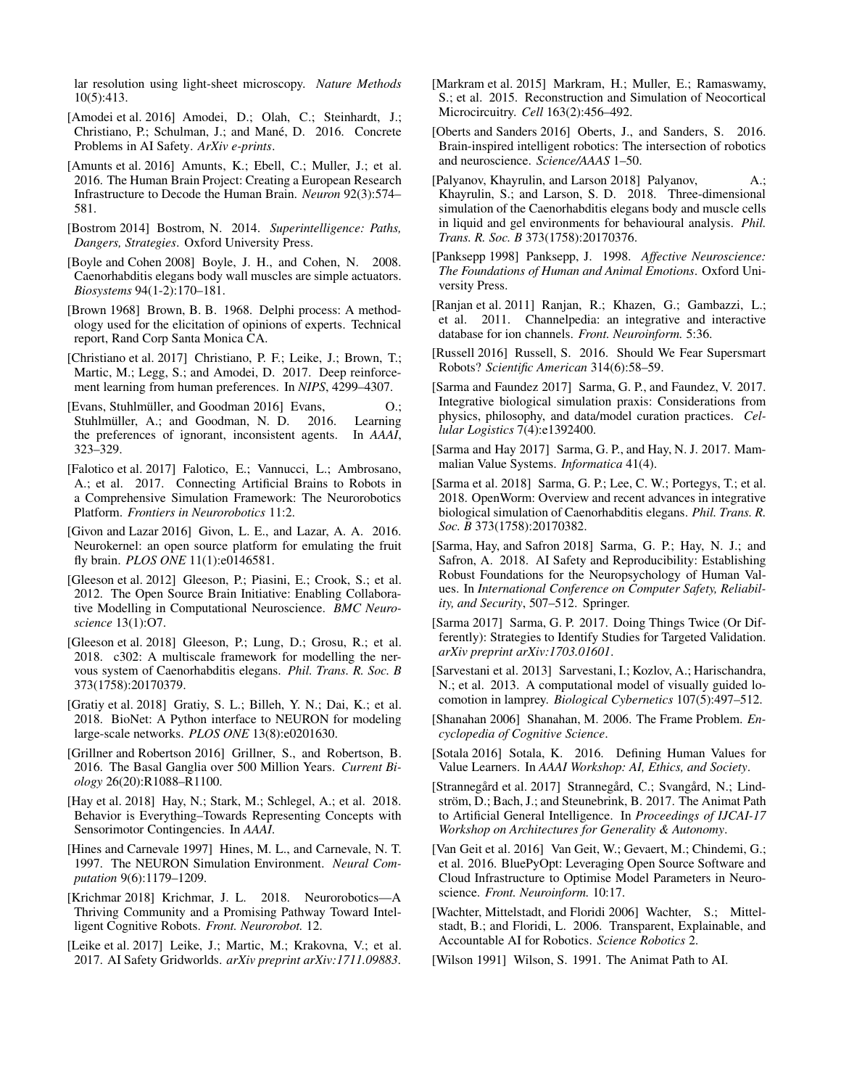lar resolution using light-sheet microscopy. *Nature Methods* 10(5):413.

- <span id="page-4-5"></span>[Amodei et al. 2016] Amodei, D.; Olah, C.; Steinhardt, J.; Christiano, P.; Schulman, J.; and Mané, D. 2016. Concrete Problems in AI Safety. *ArXiv e-prints*.
- <span id="page-4-13"></span>[Amunts et al. 2016] Amunts, K.; Ebell, C.; Muller, J.; et al. 2016. The Human Brain Project: Creating a European Research Infrastructure to Decode the Human Brain. *Neuron* 92(3):574– 581.
- <span id="page-4-0"></span>[Bostrom 2014] Bostrom, N. 2014. *Superintelligence: Paths, Dangers, Strategies*. Oxford University Press.
- <span id="page-4-16"></span>[Bovle and Cohen 2008] Boyle, J. H., and Cohen, N. 2008. Caenorhabditis elegans body wall muscles are simple actuators. *Biosystems* 94(1-2):170–181.
- <span id="page-4-34"></span>[Brown 1968] Brown, B. B. 1968. Delphi process: A methodology used for the elicitation of opinions of experts. Technical report, Rand Corp Santa Monica CA.
- <span id="page-4-25"></span>[Christiano et al. 2017] Christiano, P. F.; Leike, J.; Brown, T.; Martic, M.; Legg, S.; and Amodei, D. 2017. Deep reinforcement learning from human preferences. In *NIPS*, 4299–4307.
- <span id="page-4-24"></span>[Evans, Stuhlmüller, and Goodman 2016] Evans,  $O$ .; Stuhlmüller, A.; and Goodman, N. D. 2016. Learning the preferences of ignorant, inconsistent agents. In *AAAI*, 323–329.
- <span id="page-4-19"></span>[Falotico et al. 2017] Falotico, E.; Vannucci, L.; Ambrosano, A.; et al. 2017. Connecting Artificial Brains to Robots in a Comprehensive Simulation Framework: The Neurorobotics Platform. *Frontiers in Neurorobotics* 11:2.
- <span id="page-4-10"></span>[Givon and Lazar 2016] Givon, L. E., and Lazar, A. A. 2016. Neurokernel: an open source platform for emulating the fruit fly brain. *PLOS ONE* 11(1):e0146581.
- <span id="page-4-32"></span>[Gleeson et al. 2012] Gleeson, P.; Piasini, E.; Crook, S.; et al. 2012. The Open Source Brain Initiative: Enabling Collaborative Modelling in Computational Neuroscience. *BMC Neuroscience* 13(1):O7.
- <span id="page-4-17"></span>[Gleeson et al. 2018] Gleeson, P.; Lung, D.; Grosu, R.; et al. 2018. c302: A multiscale framework for modelling the nervous system of Caenorhabditis elegans. *Phil. Trans. R. Soc. B* 373(1758):20170379.
- <span id="page-4-30"></span>[Gratiy et al. 2018] Gratiy, S. L.; Billeh, Y. N.; Dai, K.; et al. 2018. BioNet: A Python interface to NEURON for modeling large-scale networks. *PLOS ONE* 13(8):e0201630.
- <span id="page-4-27"></span>[Grillner and Robertson 2016] Grillner, S., and Robertson, B. 2016. The Basal Ganglia over 500 Million Years. *Current Biology* 26(20):R1088–R1100.
- <span id="page-4-21"></span>[Hay et al. 2018] Hay, N.; Stark, M.; Schlegel, A.; et al. 2018. Behavior is Everything–Towards Representing Concepts with Sensorimotor Contingencies. In *AAAI*.
- <span id="page-4-28"></span>[Hines and Carnevale 1997] Hines, M. L., and Carnevale, N. T. 1997. The NEURON Simulation Environment. *Neural Computation* 9(6):1179–1209.
- <span id="page-4-22"></span>[Krichmar 2018] Krichmar, J. L. 2018. Neurorobotics—A Thriving Community and a Promising Pathway Toward Intelligent Cognitive Robots. *Front. Neurorobot.* 12.
- <span id="page-4-7"></span>[Leike et al. 2017] Leike, J.; Martic, M.; Krakovna, V.; et al. 2017. AI Safety Gridworlds. *arXiv preprint arXiv:1711.09883*.
- <span id="page-4-12"></span>[Markram et al. 2015] Markram, H.; Muller, E.; Ramaswamy, S.; et al. 2015. Reconstruction and Simulation of Neocortical Microcircuitry. *Cell* 163(2):456–492.
- <span id="page-4-20"></span>[Oberts and Sanders 2016] Oberts, J., and Sanders, S. 2016. Brain-inspired intelligent robotics: The intersection of robotics and neuroscience. *Science/AAAS* 1–50.
- <span id="page-4-18"></span>[Palyanov, Khayrulin, and Larson 2018] Palyanov, A.; Khayrulin, S.; and Larson, S. D. 2018. Three-dimensional simulation of the Caenorhabditis elegans body and muscle cells in liquid and gel environments for behavioural analysis. *Phil. Trans. R. Soc. B* 373(1758):20170376.
- <span id="page-4-23"></span>[Panksepp 1998] Panksepp, J. 1998. *Affective Neuroscience: The Foundations of Human and Animal Emotions*. Oxford University Press.
- <span id="page-4-31"></span>[Ranjan et al. 2011] Ranjan, R.; Khazen, G.; Gambazzi, L.; et al. 2011. Channelpedia: an integrative and interactive database for ion channels. *Front. Neuroinform.* 5:36.
- <span id="page-4-4"></span>[Russell 2016] Russell, S. 2016. Should We Fear Supersmart Robots? *Scientific American* 314(6):58–59.
- <span id="page-4-8"></span>[Sarma and Faundez 2017] Sarma, G. P., and Faundez, V. 2017. Integrative biological simulation praxis: Considerations from physics, philosophy, and data/model curation practices. *Cellular Logistics* 7(4):e1392400.
- <span id="page-4-1"></span>[Sarma and Hay 2017] Sarma, G. P., and Hay, N. J. 2017. Mammalian Value Systems. *Informatica* 41(4).
- <span id="page-4-9"></span>[Sarma et al. 2018] Sarma, G. P.; Lee, C. W.; Portegys, T.; et al. 2018. OpenWorm: Overview and recent advances in integrative biological simulation of Caenorhabditis elegans. *Phil. Trans. R. Soc. B* 373(1758):20170382.
- <span id="page-4-2"></span>[Sarma, Hay, and Safron 2018] Sarma, G. P.; Hay, N. J.; and Safron, A. 2018. AI Safety and Reproducibility: Establishing Robust Foundations for the Neuropsychology of Human Values. In *International Conference on Computer Safety, Reliability, and Security*, 507–512. Springer.
- <span id="page-4-33"></span>[Sarma 2017] Sarma, G. P. 2017. Doing Things Twice (Or Differently): Strategies to Identify Studies for Targeted Validation. *arXiv preprint arXiv:1703.01601*.
- <span id="page-4-11"></span>[Sarvestani et al. 2013] Sarvestani, I.; Kozlov, A.; Harischandra, N.; et al. 2013. A computational model of visually guided locomotion in lamprey. *Biological Cybernetics* 107(5):497–512.
- <span id="page-4-6"></span>[Shanahan 2006] Shanahan, M. 2006. The Frame Problem. *Encyclopedia of Cognitive Science*.
- <span id="page-4-3"></span>[Sotala 2016] Sotala, K. 2016. Defining Human Values for Value Learners. In *AAAI Workshop: AI, Ethics, and Society*.
- <span id="page-4-14"></span>[Strannegård et al. 2017] Strannegård, C.; Svangård, N.; Lindström, D.; Bach, J.; and Steunebrink, B. 2017. The Animat Path to Artificial General Intelligence. In *Proceedings of IJCAI-17 Workshop on Architectures for Generality & Autonomy*.
- <span id="page-4-29"></span>[Van Geit et al. 2016] Van Geit, W.; Gevaert, M.; Chindemi, G.; et al. 2016. BluePyOpt: Leveraging Open Source Software and Cloud Infrastructure to Optimise Model Parameters in Neuroscience. *Front. Neuroinform.* 10:17.
- <span id="page-4-26"></span>[Wachter, Mittelstadt, and Floridi 2006] Wachter, S.; Mittelstadt, B.; and Floridi, L. 2006. Transparent, Explainable, and Accountable AI for Robotics. *Science Robotics* 2.
- <span id="page-4-15"></span>[Wilson 1991] Wilson, S. 1991. The Animat Path to AI.